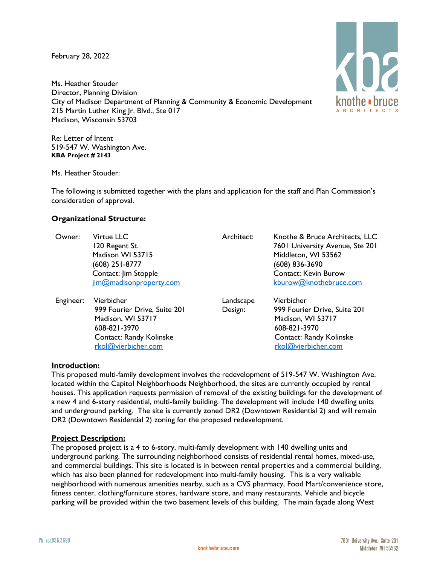February 28, 2022

Ms. Heather Stouder Director, Planning Division City of Madison Department of Planning & Community & Economic Development 215 Martin Luther King Jr. Blvd., Ste 017 Madison, Wisconsin 53703

Re: Letter of Intent 519-547 W. Washington Ave. **KBA Project # 2143**

Ms. Heather Stouder:

The following is submitted together with the plans and application for the staff and Plan Commission's consideration of approval.

### **Organizational Structure:**

[rkol@vierbicher.com](mailto:rkol@vierbicher.com)

| Owner:    | Virtue LLC<br>120 Regent St.<br>Madison WI 53715<br>(608) 251-8777<br>Contact: Jim Stopple<br>jim@madisonproperty.com | Architect:           | Knothe & Bruce Architects, LLC<br>7601 University Avenue, Ste 201<br>Middleton, WI 53562<br>$(608)$ 836-3690<br><b>Contact: Kevin Burow</b><br>kburow@knothebruce.com |
|-----------|-----------------------------------------------------------------------------------------------------------------------|----------------------|-----------------------------------------------------------------------------------------------------------------------------------------------------------------------|
| Engineer: | Vierbicher<br>999 Fourier Drive, Suite 201<br>Madison, WI 53717<br>608-821-3970<br>Contact: Randy Kolinske            | Landscape<br>Design: | Vierbicher<br>999 Fourier Drive, Suite 201<br>Madison, WI 53717<br>608-821-3970<br><b>Contact: Randy Kolinske</b>                                                     |

#### **Introduction:**

This proposed multi-family development involves the redevelopment of 519-547 W. Washington Ave. located within the Capitol Neighborhoods Neighborhood, the sites are currently occupied by rental houses. This application requests permission of removal of the existing buildings for the development of a new 4 and 6-story residential, multi-family building. The development will include 140 dwelling units and underground parking. The site is currently zoned DR2 (Downtown Residential 2) and will remain DR2 (Downtown Residential 2) zoning for the proposed redevelopment.

### **Project Description:**

The proposed project is a 4 to 6-story, multi-family development with 140 dwelling units and underground parking. The surrounding neighborhood consists of residential rental homes, mixed-use, and commercial buildings. This site is located is in between rental properties and a commercial building, which has also been planned for redevelopment into multi-family housing. This is a very walkable neighborhood with numerous amenities nearby, such as a CVS pharmacy, Food Mart/convenience store, fitness center, clothing/furniture stores, hardware store, and many restaurants. Vehicle and bicycle parking will be provided within the two basement levels of this building. The main façade along West



[rkol@vierbicher.com](mailto:rkol@vierbicher.com)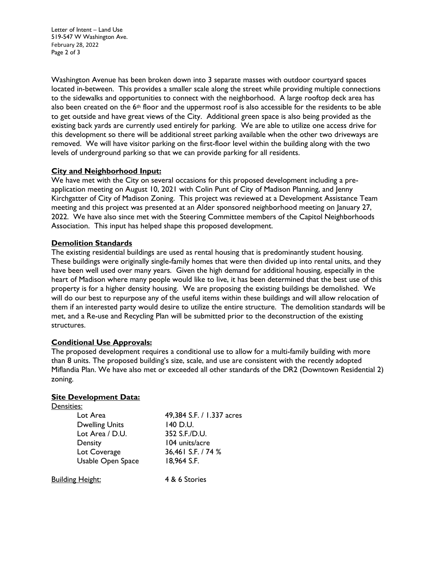Letter of Intent – Land Use 519-547 W Washington Ave. February 28, 2022 Page 2 of 3

Washington Avenue has been broken down into 3 separate masses with outdoor courtyard spaces located in-between. This provides a smaller scale along the street while providing multiple connections to the sidewalks and opportunities to connect with the neighborhood. A large rooftop deck area has also been created on the  $6<sup>th</sup>$  floor and the uppermost roof is also accessible for the residents to be able to get outside and have great views of the City. Additional green space is also being provided as the existing back yards are currently used entirely for parking. We are able to utilize one access drive for this development so there will be additional street parking available when the other two driveways are removed. We will have visitor parking on the first-floor level within the building along with the two levels of underground parking so that we can provide parking for all residents.

# **City and Neighborhood Input:**

We have met with the City on several occasions for this proposed development including a preapplication meeting on August 10, 2021 with Colin Punt of City of Madison Planning, and Jenny Kirchgatter of City of Madison Zoning. This project was reviewed at a Development Assistance Team meeting and this project was presented at an Alder sponsored neighborhood meeting on January 27, 2022. We have also since met with the Steering Committee members of the Capitol Neighborhoods Association. This input has helped shape this proposed development.

# **Demolition Standards**

The existing residential buildings are used as rental housing that is predominantly student housing. These buildings were originally single-family homes that were then divided up into rental units, and they have been well used over many years. Given the high demand for additional housing, especially in the heart of Madison where many people would like to live, it has been determined that the best use of this property is for a higher density housing. We are proposing the existing buildings be demolished. We will do our best to repurpose any of the useful items within these buildings and will allow relocation of them if an interested party would desire to utilize the entire structure. The demolition standards will be met, and a Re-use and Recycling Plan will be submitted prior to the deconstruction of the existing structures.

### **Conditional Use Approvals:**

The proposed development requires a conditional use to allow for a multi-family building with more than 8 units. The proposed building's size, scale, and use are consistent with the recently adopted Miflandia Plan. We have also met or exceeded all other standards of the DR2 (Downtown Residential 2) zoning.

### **Site Development Data:**

| Densities:            |                           |
|-----------------------|---------------------------|
| Lot Area              | 49,384 S.F. / 1.337 acres |
| <b>Dwelling Units</b> | 140 D.U.                  |
| Lot Area / D.U.       | 352 S.F./D.U.             |
| Density               | 104 units/acre            |
| Lot Coverage          | 36,461 S.F. / 74 %        |
| Usable Open Space     | 18,964 S.F.               |
|                       |                           |

Building Height: 4 & 6 Stories